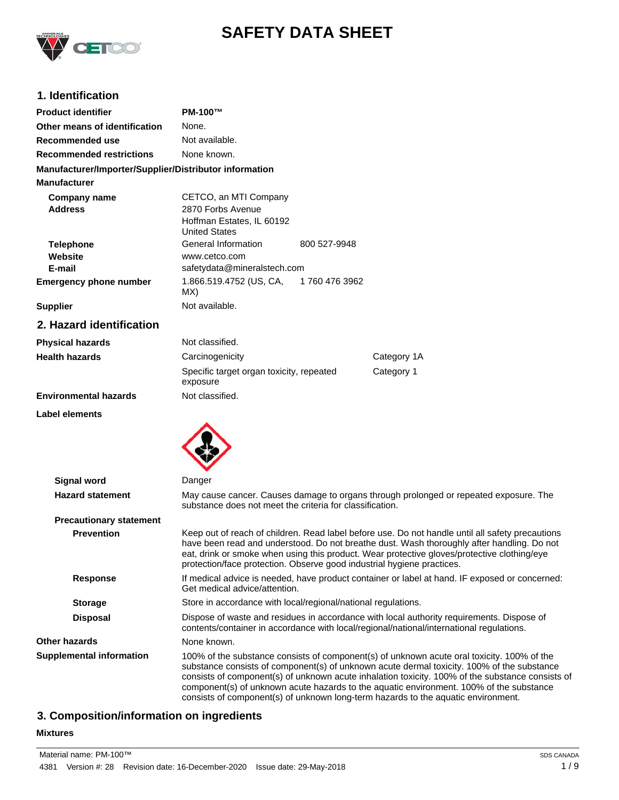

# **SAFETY DATA SHEET**

# **1. Identification**

| <b>Product identifier</b>                              | <b>PM-100™</b>                                                                                                                                                                        |                                                                                                                                                                                                                                                                                                                                                                                                                                                                              |
|--------------------------------------------------------|---------------------------------------------------------------------------------------------------------------------------------------------------------------------------------------|------------------------------------------------------------------------------------------------------------------------------------------------------------------------------------------------------------------------------------------------------------------------------------------------------------------------------------------------------------------------------------------------------------------------------------------------------------------------------|
| Other means of identification                          | None.                                                                                                                                                                                 |                                                                                                                                                                                                                                                                                                                                                                                                                                                                              |
| Recommended use                                        | Not available.                                                                                                                                                                        |                                                                                                                                                                                                                                                                                                                                                                                                                                                                              |
| <b>Recommended restrictions</b>                        | None known.                                                                                                                                                                           |                                                                                                                                                                                                                                                                                                                                                                                                                                                                              |
| Manufacturer/Importer/Supplier/Distributor information |                                                                                                                                                                                       |                                                                                                                                                                                                                                                                                                                                                                                                                                                                              |
| <b>Manufacturer</b>                                    |                                                                                                                                                                                       |                                                                                                                                                                                                                                                                                                                                                                                                                                                                              |
| <b>Company name</b><br><b>Address</b>                  | CETCO, an MTI Company<br>2870 Forbs Avenue<br>Hoffman Estates, IL 60192<br><b>United States</b>                                                                                       |                                                                                                                                                                                                                                                                                                                                                                                                                                                                              |
| <b>Telephone</b>                                       | General Information<br>800 527-9948                                                                                                                                                   |                                                                                                                                                                                                                                                                                                                                                                                                                                                                              |
| Website<br>E-mail                                      | www.cetco.com<br>safetydata@mineralstech.com                                                                                                                                          |                                                                                                                                                                                                                                                                                                                                                                                                                                                                              |
| <b>Emergency phone number</b>                          | 1.866.519.4752 (US, CA,<br>1760 476 3962<br>MX)                                                                                                                                       |                                                                                                                                                                                                                                                                                                                                                                                                                                                                              |
| <b>Supplier</b>                                        | Not available.                                                                                                                                                                        |                                                                                                                                                                                                                                                                                                                                                                                                                                                                              |
| 2. Hazard identification                               |                                                                                                                                                                                       |                                                                                                                                                                                                                                                                                                                                                                                                                                                                              |
| <b>Physical hazards</b>                                | Not classified.                                                                                                                                                                       |                                                                                                                                                                                                                                                                                                                                                                                                                                                                              |
| <b>Health hazards</b>                                  | Carcinogenicity                                                                                                                                                                       | Category 1A                                                                                                                                                                                                                                                                                                                                                                                                                                                                  |
|                                                        | Specific target organ toxicity, repeated<br>exposure                                                                                                                                  | Category 1                                                                                                                                                                                                                                                                                                                                                                                                                                                                   |
| <b>Environmental hazards</b>                           | Not classified.                                                                                                                                                                       |                                                                                                                                                                                                                                                                                                                                                                                                                                                                              |
| Label elements                                         |                                                                                                                                                                                       |                                                                                                                                                                                                                                                                                                                                                                                                                                                                              |
| <b>Signal word</b>                                     | Danger                                                                                                                                                                                |                                                                                                                                                                                                                                                                                                                                                                                                                                                                              |
| <b>Hazard statement</b>                                | substance does not meet the criteria for classification.                                                                                                                              | May cause cancer. Causes damage to organs through prolonged or repeated exposure. The                                                                                                                                                                                                                                                                                                                                                                                        |
| <b>Precautionary statement</b>                         |                                                                                                                                                                                       |                                                                                                                                                                                                                                                                                                                                                                                                                                                                              |
| <b>Prevention</b>                                      | protection/face protection. Observe good industrial hygiene practices.                                                                                                                | Keep out of reach of children. Read label before use. Do not handle until all safety precautions<br>have been read and understood. Do not breathe dust. Wash thoroughly after handling. Do not<br>eat, drink or smoke when using this product. Wear protective gloves/protective clothing/eye                                                                                                                                                                                |
| <b>Response</b>                                        | If medical advice is needed, have product container or label at hand. IF exposed or concerned:<br>Get medical advice/attention.                                                       |                                                                                                                                                                                                                                                                                                                                                                                                                                                                              |
| <b>Storage</b>                                         | Store in accordance with local/regional/national regulations.                                                                                                                         |                                                                                                                                                                                                                                                                                                                                                                                                                                                                              |
| <b>Disposal</b>                                        | Dispose of waste and residues in accordance with local authority requirements. Dispose of<br>contents/container in accordance with local/regional/national/international regulations. |                                                                                                                                                                                                                                                                                                                                                                                                                                                                              |
| <b>Other hazards</b>                                   | None known.                                                                                                                                                                           |                                                                                                                                                                                                                                                                                                                                                                                                                                                                              |
| <b>Supplemental information</b>                        |                                                                                                                                                                                       | 100% of the substance consists of component(s) of unknown acute oral toxicity. 100% of the<br>substance consists of component(s) of unknown acute dermal toxicity. 100% of the substance<br>consists of component(s) of unknown acute inhalation toxicity. 100% of the substance consists of<br>component(s) of unknown acute hazards to the aquatic environment. 100% of the substance<br>consists of component(s) of unknown long-term hazards to the aquatic environment. |

# **3. Composition/information on ingredients**

### **Mixtures**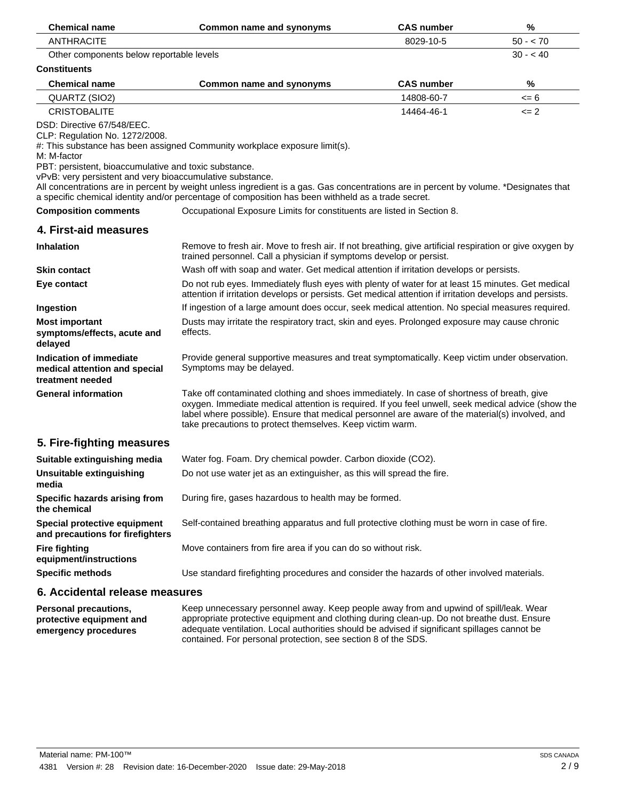| <b>Chemical name</b>                                                                                                                                                                              | Common name and synonyms                                                                                                                                                                                                                                                                                                                                         | <b>CAS number</b> | %         |
|---------------------------------------------------------------------------------------------------------------------------------------------------------------------------------------------------|------------------------------------------------------------------------------------------------------------------------------------------------------------------------------------------------------------------------------------------------------------------------------------------------------------------------------------------------------------------|-------------------|-----------|
| <b>ANTHRACITE</b>                                                                                                                                                                                 |                                                                                                                                                                                                                                                                                                                                                                  | 8029-10-5         | $50 - 70$ |
| Other components below reportable levels                                                                                                                                                          |                                                                                                                                                                                                                                                                                                                                                                  |                   | $30 - 40$ |
| <b>Constituents</b>                                                                                                                                                                               |                                                                                                                                                                                                                                                                                                                                                                  |                   |           |
| <b>Chemical name</b>                                                                                                                                                                              | <b>Common name and synonyms</b>                                                                                                                                                                                                                                                                                                                                  | <b>CAS number</b> | %         |
| QUARTZ (SIO2)                                                                                                                                                                                     |                                                                                                                                                                                                                                                                                                                                                                  | 14808-60-7        | $= 6$     |
| <b>CRISTOBALITE</b>                                                                                                                                                                               |                                                                                                                                                                                                                                                                                                                                                                  | 14464-46-1        | $\leq$ 2  |
| DSD: Directive 67/548/EEC.<br>CLP: Regulation No. 1272/2008.<br>M: M-factor<br>PBT: persistent, bioaccumulative and toxic substance.<br>vPvB: very persistent and very bioaccumulative substance. | #: This substance has been assigned Community workplace exposure limit(s).<br>All concentrations are in percent by weight unless ingredient is a gas. Gas concentrations are in percent by volume. *Designates that<br>a specific chemical identity and/or percentage of composition has been withheld as a trade secret.                                        |                   |           |
| <b>Composition comments</b>                                                                                                                                                                       | Occupational Exposure Limits for constituents are listed in Section 8.                                                                                                                                                                                                                                                                                           |                   |           |
| 4. First-aid measures                                                                                                                                                                             |                                                                                                                                                                                                                                                                                                                                                                  |                   |           |
| <b>Inhalation</b>                                                                                                                                                                                 | Remove to fresh air. Move to fresh air. If not breathing, give artificial respiration or give oxygen by<br>trained personnel. Call a physician if symptoms develop or persist.                                                                                                                                                                                   |                   |           |
| <b>Skin contact</b>                                                                                                                                                                               | Wash off with soap and water. Get medical attention if irritation develops or persists.                                                                                                                                                                                                                                                                          |                   |           |
| Eye contact                                                                                                                                                                                       | Do not rub eyes. Immediately flush eyes with plenty of water for at least 15 minutes. Get medical<br>attention if irritation develops or persists. Get medical attention if irritation develops and persists.                                                                                                                                                    |                   |           |
| Ingestion                                                                                                                                                                                         | If ingestion of a large amount does occur, seek medical attention. No special measures required.                                                                                                                                                                                                                                                                 |                   |           |
| <b>Most important</b><br>symptoms/effects, acute and<br>delayed                                                                                                                                   | Dusts may irritate the respiratory tract, skin and eyes. Prolonged exposure may cause chronic<br>effects.                                                                                                                                                                                                                                                        |                   |           |
| Indication of immediate<br>medical attention and special<br>treatment needed                                                                                                                      | Provide general supportive measures and treat symptomatically. Keep victim under observation.<br>Symptoms may be delayed.                                                                                                                                                                                                                                        |                   |           |
| <b>General information</b>                                                                                                                                                                        | Take off contaminated clothing and shoes immediately. In case of shortness of breath, give<br>oxygen. Immediate medical attention is required. If you feel unwell, seek medical advice (show the<br>label where possible). Ensure that medical personnel are aware of the material(s) involved, and<br>take precautions to protect themselves. Keep victim warm. |                   |           |
| 5. Fire-fighting measures                                                                                                                                                                         |                                                                                                                                                                                                                                                                                                                                                                  |                   |           |
| Suitable extinguishing media                                                                                                                                                                      | Water fog. Foam. Dry chemical powder. Carbon dioxide (CO2).                                                                                                                                                                                                                                                                                                      |                   |           |
| <b>Unsuitable extinguishing</b><br>media                                                                                                                                                          | Do not use water jet as an extinguisher, as this will spread the fire.                                                                                                                                                                                                                                                                                           |                   |           |
| Specific hazards arising from<br>the chemical                                                                                                                                                     | During fire, gases hazardous to health may be formed.                                                                                                                                                                                                                                                                                                            |                   |           |
| Special protective equipment<br>and precautions for firefighters                                                                                                                                  | Self-contained breathing apparatus and full protective clothing must be worn in case of fire.                                                                                                                                                                                                                                                                    |                   |           |
| <b>Fire fighting</b><br>equipment/instructions                                                                                                                                                    | Move containers from fire area if you can do so without risk.                                                                                                                                                                                                                                                                                                    |                   |           |
| <b>Specific methods</b>                                                                                                                                                                           | Use standard firefighting procedures and consider the hazards of other involved materials.                                                                                                                                                                                                                                                                       |                   |           |
| 6. Accidental release measures                                                                                                                                                                    |                                                                                                                                                                                                                                                                                                                                                                  |                   |           |

Keep unnecessary personnel away. Keep people away from and upwind of spill/leak. Wear appropriate protective equipment and clothing during clean-up. Do not breathe dust. Ensure adequate ventilation. Local authorities should be advised if significant spillages cannot be contained. For personal protection, see section 8 of the SDS. **Personal precautions, protective equipment and emergency procedures**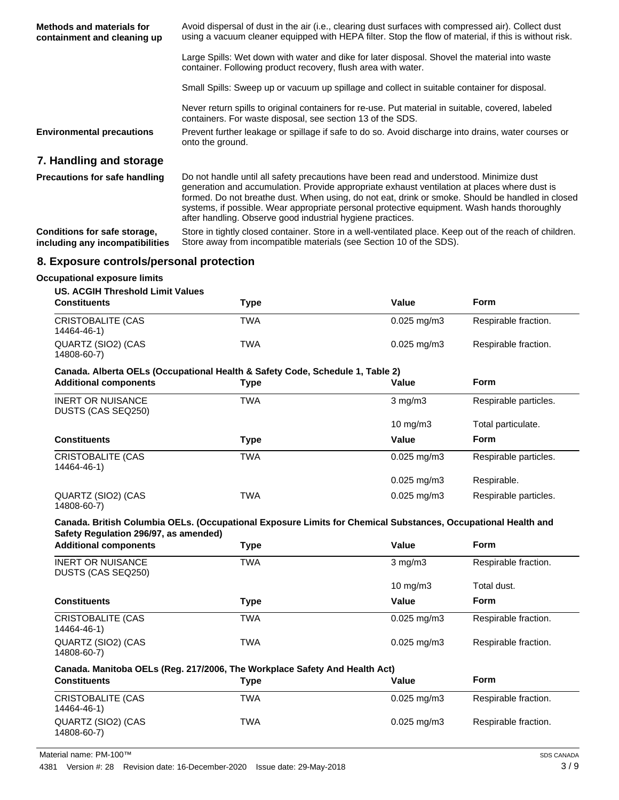| <b>Methods and materials for</b><br>containment and cleaning up | Avoid dispersal of dust in the air (i.e., clearing dust surfaces with compressed air). Collect dust<br>using a vacuum cleaner equipped with HEPA filter. Stop the flow of material, if this is without risk.                                                                                |
|-----------------------------------------------------------------|---------------------------------------------------------------------------------------------------------------------------------------------------------------------------------------------------------------------------------------------------------------------------------------------|
|                                                                 | Large Spills: Wet down with water and dike for later disposal. Shovel the material into waste<br>container. Following product recovery, flush area with water.                                                                                                                              |
|                                                                 | Small Spills: Sweep up or vacuum up spillage and collect in suitable container for disposal.                                                                                                                                                                                                |
|                                                                 | Never return spills to original containers for re-use. Put material in suitable, covered, labeled<br>containers. For waste disposal, see section 13 of the SDS.                                                                                                                             |
| <b>Environmental precautions</b>                                | Prevent further leakage or spillage if safe to do so. Avoid discharge into drains, water courses or<br>onto the ground.                                                                                                                                                                     |
| 7. Handling and storage                                         |                                                                                                                                                                                                                                                                                             |
| <b>Precautions for safe handling</b>                            | Do not handle until all safety precautions have been read and understood. Minimize dust<br>generation and accumulation. Provide appropriate exhaust ventilation at places where dust is<br>formed. Do not breathe dust. When using, do not eat, drink or smoke. Should be handled in closed |

Store in tightly closed container. Store in a well-ventilated place. Keep out of the reach of children. Store away from incompatible materials (see Section 10 of the SDS). **Conditions for safe storage, including any incompatibilities**

after handling. Observe good industrial hygiene practices.

systems, if possible. Wear appropriate personal protective equipment. Wash hands thoroughly

# **8. Exposure controls/personal protection**

#### **Occupational exposure limits**

#### **US. ACGIH Threshold Limit Values**

| <b>Constituents</b>                     | Type | Value                  | <b>Form</b>          |
|-----------------------------------------|------|------------------------|----------------------|
| <b>CRISTOBALITE (CAS</b><br>14464-46-1) | TWA  | $0.025 \text{ ma/m}$ 3 | Respirable fraction. |
| QUARTZ (SIO2) (CAS<br>14808-60-7)       | TWA  | $0.025 \text{ mg/m}$ 3 | Respirable fraction. |

#### **Canada. Alberta OELs (Occupational Health & Safety Code, Schedule 1, Table 2)**

| <b>Additional components</b>                   | Type       | Value                  | <b>Form</b>           |
|------------------------------------------------|------------|------------------------|-----------------------|
| <b>INERT OR NUISANCE</b><br>DUSTS (CAS SEQ250) | <b>TWA</b> | $3 \text{ mg/m}$       | Respirable particles. |
|                                                |            | 10 $mg/m3$             | Total particulate.    |
| <b>Constituents</b>                            | Type       | Value                  | <b>Form</b>           |
| <b>CRISTOBALITE (CAS</b><br>14464-46-1)        | TWA        | $0.025 \text{ mg/m}$ 3 | Respirable particles. |
|                                                |            | $0.025 \text{ mg/m}$ 3 | Respirable.           |
| QUARTZ (SIO2) (CAS<br>14808-60-7)              | TWA        | $0.025 \text{ mg/m}$ 3 | Respirable particles. |

#### **Canada. British Columbia OELs. (Occupational Exposure Limits for Chemical Substances, Occupational Health and Safety Regulation 296/97, as amended)**

| <b>Additional components</b>                   | Type | Value                     | <b>Form</b>          |
|------------------------------------------------|------|---------------------------|----------------------|
| <b>INERT OR NUISANCE</b><br>DUSTS (CAS SEQ250) | TWA  | $3 \text{ mg/m}$          | Respirable fraction. |
|                                                |      | $10 \text{ mg/m}$         | Total dust.          |
| <b>Constituents</b>                            | Type | Value                     | <b>Form</b>          |
| <b>CRISTOBALITE (CAS</b><br>14464-46-1)        | TWA  | $0.025$ mg/m $3$          | Respirable fraction. |
| QUARTZ (SIO2) (CAS<br>14808-60-7)              | TWA  | $0.025 \,\mathrm{mq/m}$ 3 | Respirable fraction. |

#### **Canada. Manitoba OELs (Reg. 217/2006, The Workplace Safety And Health Act)**

| <b>Constituents</b>               | Tvpe | Value                     | <b>Form</b>          |
|-----------------------------------|------|---------------------------|----------------------|
| CRISTOBALITE (CAS<br>14464-46-1)  | TWA  | $0.025 \,\mathrm{mq/m}$ 3 | Respirable fraction. |
| QUARTZ (SIO2) (CAS<br>14808-60-7) | TWA  | $0.025 \,\mathrm{mq/m}$ 3 | Respirable fraction. |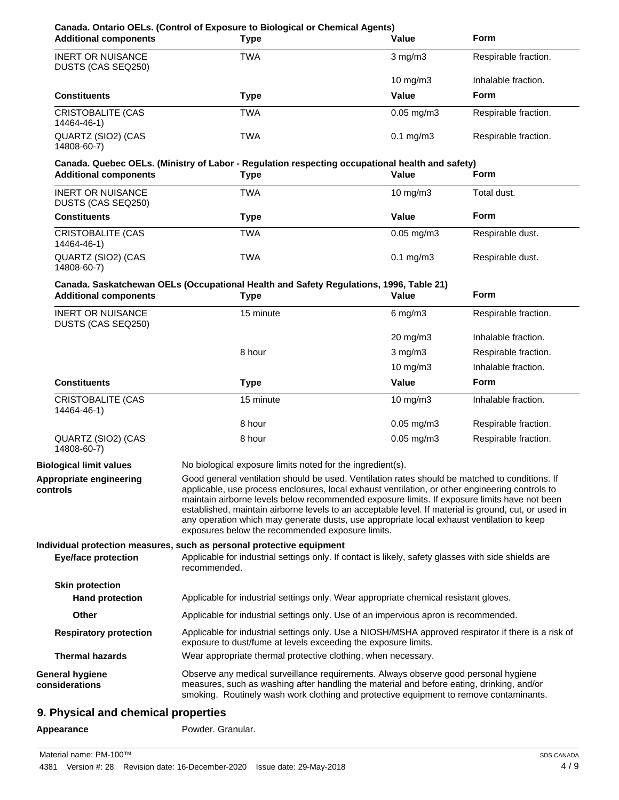| <b>Type</b>                                                                                                                                                                                                                                                                                                                                                                                                                                                                                                                                                | Value           | <b>Form</b>                                                                                                                                                                                                                                                      |
|------------------------------------------------------------------------------------------------------------------------------------------------------------------------------------------------------------------------------------------------------------------------------------------------------------------------------------------------------------------------------------------------------------------------------------------------------------------------------------------------------------------------------------------------------------|-----------------|------------------------------------------------------------------------------------------------------------------------------------------------------------------------------------------------------------------------------------------------------------------|
| <b>TWA</b>                                                                                                                                                                                                                                                                                                                                                                                                                                                                                                                                                 | $3$ mg/m $3$    | Respirable fraction.                                                                                                                                                                                                                                             |
|                                                                                                                                                                                                                                                                                                                                                                                                                                                                                                                                                            | 10 $mg/m3$      | Inhalable fraction.                                                                                                                                                                                                                                              |
| <b>Type</b>                                                                                                                                                                                                                                                                                                                                                                                                                                                                                                                                                | Value           | Form                                                                                                                                                                                                                                                             |
| <b>TWA</b>                                                                                                                                                                                                                                                                                                                                                                                                                                                                                                                                                 | $0.05$ mg/m $3$ | Respirable fraction.                                                                                                                                                                                                                                             |
| <b>TWA</b>                                                                                                                                                                                                                                                                                                                                                                                                                                                                                                                                                 | $0.1$ mg/m $3$  | Respirable fraction.                                                                                                                                                                                                                                             |
|                                                                                                                                                                                                                                                                                                                                                                                                                                                                                                                                                            |                 |                                                                                                                                                                                                                                                                  |
|                                                                                                                                                                                                                                                                                                                                                                                                                                                                                                                                                            |                 | Form                                                                                                                                                                                                                                                             |
| <b>TWA</b>                                                                                                                                                                                                                                                                                                                                                                                                                                                                                                                                                 | 10 mg/m3        | Total dust.                                                                                                                                                                                                                                                      |
| <b>Type</b>                                                                                                                                                                                                                                                                                                                                                                                                                                                                                                                                                | Value           | Form                                                                                                                                                                                                                                                             |
| <b>TWA</b>                                                                                                                                                                                                                                                                                                                                                                                                                                                                                                                                                 | $0.05$ mg/m $3$ | Respirable dust.                                                                                                                                                                                                                                                 |
| <b>TWA</b>                                                                                                                                                                                                                                                                                                                                                                                                                                                                                                                                                 | $0.1$ mg/m $3$  | Respirable dust.                                                                                                                                                                                                                                                 |
|                                                                                                                                                                                                                                                                                                                                                                                                                                                                                                                                                            |                 |                                                                                                                                                                                                                                                                  |
| <b>Type</b>                                                                                                                                                                                                                                                                                                                                                                                                                                                                                                                                                | Value           | <b>Form</b>                                                                                                                                                                                                                                                      |
| 15 minute                                                                                                                                                                                                                                                                                                                                                                                                                                                                                                                                                  | $6$ mg/m $3$    | Respirable fraction.                                                                                                                                                                                                                                             |
|                                                                                                                                                                                                                                                                                                                                                                                                                                                                                                                                                            | 20 mg/m3        | Inhalable fraction.                                                                                                                                                                                                                                              |
| 8 hour                                                                                                                                                                                                                                                                                                                                                                                                                                                                                                                                                     | $3$ mg/m $3$    | Respirable fraction.                                                                                                                                                                                                                                             |
|                                                                                                                                                                                                                                                                                                                                                                                                                                                                                                                                                            | 10 mg/m3        | Inhalable fraction.                                                                                                                                                                                                                                              |
| <b>Type</b>                                                                                                                                                                                                                                                                                                                                                                                                                                                                                                                                                | Value           | <b>Form</b>                                                                                                                                                                                                                                                      |
| 15 minute                                                                                                                                                                                                                                                                                                                                                                                                                                                                                                                                                  | 10 mg/m3        | Inhalable fraction.                                                                                                                                                                                                                                              |
| 8 hour                                                                                                                                                                                                                                                                                                                                                                                                                                                                                                                                                     | $0.05$ mg/m $3$ | Respirable fraction.                                                                                                                                                                                                                                             |
| 8 hour                                                                                                                                                                                                                                                                                                                                                                                                                                                                                                                                                     | $0.05$ mg/m $3$ | Respirable fraction.                                                                                                                                                                                                                                             |
|                                                                                                                                                                                                                                                                                                                                                                                                                                                                                                                                                            |                 |                                                                                                                                                                                                                                                                  |
| Good general ventilation should be used. Ventilation rates should be matched to conditions. If<br>applicable, use process enclosures, local exhaust ventilation, or other engineering controls to<br>maintain airborne levels below recommended exposure limits. If exposure limits have not been<br>established, maintain airborne levels to an acceptable level. If material is ground, cut, or used in<br>any operation which may generate dusts, use appropriate local exhaust ventilation to keep<br>exposures below the recommended exposure limits. |                 |                                                                                                                                                                                                                                                                  |
|                                                                                                                                                                                                                                                                                                                                                                                                                                                                                                                                                            |                 |                                                                                                                                                                                                                                                                  |
| Individual protection measures, such as personal protective equipment                                                                                                                                                                                                                                                                                                                                                                                                                                                                                      |                 |                                                                                                                                                                                                                                                                  |
| Applicable for industrial settings only. If contact is likely, safety glasses with side shields are<br>recommended.                                                                                                                                                                                                                                                                                                                                                                                                                                        |                 |                                                                                                                                                                                                                                                                  |
|                                                                                                                                                                                                                                                                                                                                                                                                                                                                                                                                                            |                 |                                                                                                                                                                                                                                                                  |
| Applicable for industrial settings only. Wear appropriate chemical resistant gloves.                                                                                                                                                                                                                                                                                                                                                                                                                                                                       |                 |                                                                                                                                                                                                                                                                  |
| Applicable for industrial settings only. Use of an impervious apron is recommended.                                                                                                                                                                                                                                                                                                                                                                                                                                                                        |                 |                                                                                                                                                                                                                                                                  |
| Applicable for industrial settings only. Use a NIOSH/MSHA approved respirator if there is a risk of<br>exposure to dust/fume at levels exceeding the exposure limits.                                                                                                                                                                                                                                                                                                                                                                                      |                 |                                                                                                                                                                                                                                                                  |
| Wear appropriate thermal protective clothing, when necessary.                                                                                                                                                                                                                                                                                                                                                                                                                                                                                              |                 |                                                                                                                                                                                                                                                                  |
| Observe any medical surveillance requirements. Always observe good personal hygiene<br>measures, such as washing after handling the material and before eating, drinking, and/or<br>smoking. Routinely wash work clothing and protective equipment to remove contaminants.                                                                                                                                                                                                                                                                                 |                 |                                                                                                                                                                                                                                                                  |
|                                                                                                                                                                                                                                                                                                                                                                                                                                                                                                                                                            | <b>Type</b>     | Canada. Quebec OELs. (Ministry of Labor - Regulation respecting occupational health and safety)<br>Value<br>Canada. Saskatchewan OELs (Occupational Health and Safety Regulations, 1996, Table 21)<br>No biological exposure limits noted for the ingredient(s). |

# Appearance **Powder.** Granular.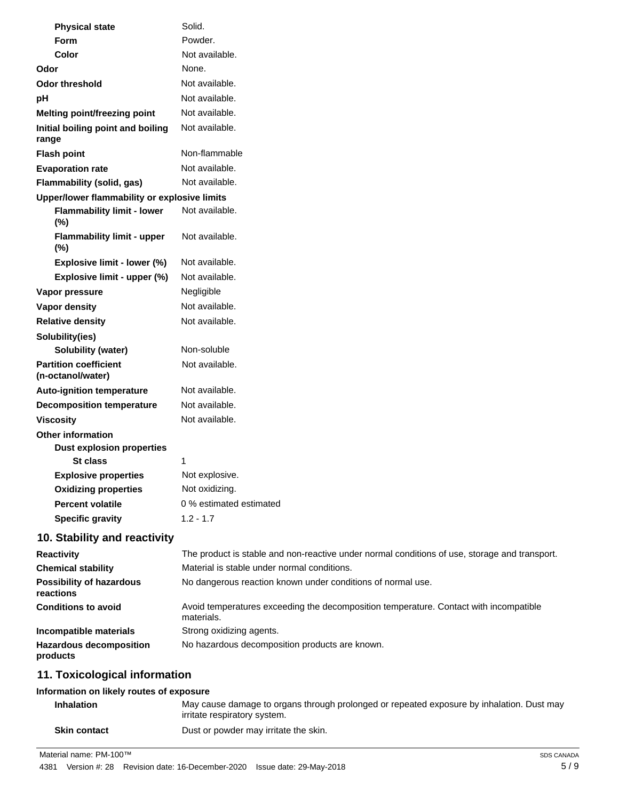| <b>Physical state</b>                             | Solid.                                                                                              |
|---------------------------------------------------|-----------------------------------------------------------------------------------------------------|
| Form                                              | Powder.                                                                                             |
| <b>Color</b>                                      | Not available.                                                                                      |
| Odor                                              | None.                                                                                               |
| <b>Odor threshold</b>                             | Not available.                                                                                      |
| pH                                                | Not available.                                                                                      |
| Melting point/freezing point                      | Not available.                                                                                      |
| Initial boiling point and boiling<br>range        | Not available.                                                                                      |
| <b>Flash point</b>                                | Non-flammable                                                                                       |
| <b>Evaporation rate</b>                           | Not available.                                                                                      |
| Flammability (solid, gas)                         | Not available.                                                                                      |
| Upper/lower flammability or explosive limits      |                                                                                                     |
| <b>Flammability limit - lower</b><br>$(\%)$       | Not available.                                                                                      |
| <b>Flammability limit - upper</b><br>$(\%)$       | Not available.                                                                                      |
| Explosive limit - lower (%)                       | Not available.                                                                                      |
| Explosive limit - upper (%)                       | Not available.                                                                                      |
| Vapor pressure                                    | Negligible                                                                                          |
| <b>Vapor density</b>                              | Not available.                                                                                      |
| <b>Relative density</b>                           | Not available.                                                                                      |
| Solubility(ies)                                   |                                                                                                     |
| <b>Solubility (water)</b>                         | Non-soluble                                                                                         |
| <b>Partition coefficient</b><br>(n-octanol/water) | Not available.                                                                                      |
| <b>Auto-ignition temperature</b>                  | Not available.                                                                                      |
| <b>Decomposition temperature</b>                  | Not available.                                                                                      |
| <b>Viscosity</b>                                  | Not available.                                                                                      |
| <b>Other information</b>                          |                                                                                                     |
| <b>Dust explosion properties</b>                  |                                                                                                     |
| <b>St class</b>                                   | 1                                                                                                   |
| <b>Explosive properties</b>                       | Not explosive.                                                                                      |
| <b>Oxidizing properties</b>                       | Not oxidizing.                                                                                      |
| <b>Percent volatile</b>                           | 0 % estimated estimated                                                                             |
| <b>Specific gravity</b>                           | $1.2 - 1.7$                                                                                         |
| 10. Stability and reactivity                      |                                                                                                     |
| <b>Reactivity</b>                                 | The product is stable and non-reactive under normal conditions of use, storage and transport.       |
| <b>Chemical stability</b>                         | Material is stable under normal conditions.                                                         |
| <b>Possibility of hazardous</b><br>reactions      | No dangerous reaction known under conditions of normal use.                                         |
| <b>Conditions to avoid</b>                        | Avoid temperatures exceeding the decomposition temperature. Contact with incompatible<br>materials. |

**Incompatible materials** Strong oxidizing agents.

**Hazardous decomposition** No hazardous decomposition products are known. **products**

# **11. Toxicological information**

#### **Information on likely routes of exposure**

| <b>Inhalation</b>   | May cause damage to organs through prolonged or repeated exposure by inhalation. Dust may<br>irritate respiratory system. |
|---------------------|---------------------------------------------------------------------------------------------------------------------------|
| <b>Skin contact</b> | Dust or powder may irritate the skin.                                                                                     |

Material name: PM-100™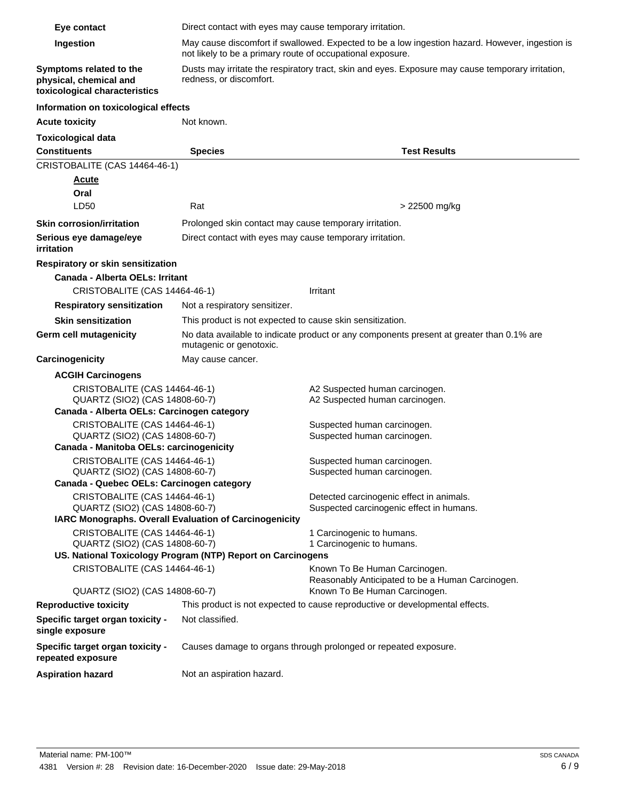| Eye contact                                                                                              | Direct contact with eyes may cause temporary irritation.                                                                     |                                                                                   |
|----------------------------------------------------------------------------------------------------------|------------------------------------------------------------------------------------------------------------------------------|-----------------------------------------------------------------------------------|
| Ingestion                                                                                                | May cause discomfort if swallowed. Expected to be a low ingestion hazard. However, ingestion is                              |                                                                                   |
|                                                                                                          | not likely to be a primary route of occupational exposure.                                                                   |                                                                                   |
| Symptoms related to the<br>physical, chemical and<br>toxicological characteristics                       | Dusts may irritate the respiratory tract, skin and eyes. Exposure may cause temporary irritation,<br>redness, or discomfort. |                                                                                   |
| Information on toxicological effects                                                                     |                                                                                                                              |                                                                                   |
| <b>Acute toxicity</b>                                                                                    | Not known.                                                                                                                   |                                                                                   |
| <b>Toxicological data</b>                                                                                |                                                                                                                              |                                                                                   |
| <b>Constituents</b>                                                                                      | <b>Species</b>                                                                                                               | <b>Test Results</b>                                                               |
| CRISTOBALITE (CAS 14464-46-1)                                                                            |                                                                                                                              |                                                                                   |
| <b>Acute</b>                                                                                             |                                                                                                                              |                                                                                   |
| Oral                                                                                                     |                                                                                                                              |                                                                                   |
| LD50                                                                                                     | Rat                                                                                                                          | > 22500 mg/kg                                                                     |
| <b>Skin corrosion/irritation</b>                                                                         | Prolonged skin contact may cause temporary irritation.                                                                       |                                                                                   |
| Serious eye damage/eye<br>irritation                                                                     | Direct contact with eyes may cause temporary irritation.                                                                     |                                                                                   |
| <b>Respiratory or skin sensitization</b>                                                                 |                                                                                                                              |                                                                                   |
| Canada - Alberta OELs: Irritant                                                                          |                                                                                                                              |                                                                                   |
| CRISTOBALITE (CAS 14464-46-1)                                                                            |                                                                                                                              | Irritant                                                                          |
| <b>Respiratory sensitization</b>                                                                         | Not a respiratory sensitizer.                                                                                                |                                                                                   |
| <b>Skin sensitization</b>                                                                                | This product is not expected to cause skin sensitization.                                                                    |                                                                                   |
| Germ cell mutagenicity                                                                                   | No data available to indicate product or any components present at greater than 0.1% are<br>mutagenic or genotoxic.          |                                                                                   |
| Carcinogenicity                                                                                          | May cause cancer.                                                                                                            |                                                                                   |
| <b>ACGIH Carcinogens</b>                                                                                 |                                                                                                                              |                                                                                   |
| CRISTOBALITE (CAS 14464-46-1)<br>QUARTZ (SIO2) (CAS 14808-60-7)                                          |                                                                                                                              | A2 Suspected human carcinogen.<br>A2 Suspected human carcinogen.                  |
| Canada - Alberta OELs: Carcinogen category                                                               |                                                                                                                              |                                                                                   |
| CRISTOBALITE (CAS 14464-46-1)                                                                            |                                                                                                                              | Suspected human carcinogen.                                                       |
| QUARTZ (SIO2) (CAS 14808-60-7)<br>Suspected human carcinogen.<br>Canada - Manitoba OELs: carcinogenicity |                                                                                                                              |                                                                                   |
| CRISTOBALITE (CAS 14464-46-1)                                                                            |                                                                                                                              | Suspected human carcinogen.                                                       |
| QUARTZ (SIO2) (CAS 14808-60-7)                                                                           |                                                                                                                              | Suspected human carcinogen.                                                       |
| Canada - Quebec OELs: Carcinogen category                                                                |                                                                                                                              |                                                                                   |
| CRISTOBALITE (CAS 14464-46-1)                                                                            |                                                                                                                              | Detected carcinogenic effect in animals.                                          |
| QUARTZ (SIO2) (CAS 14808-60-7)                                                                           | IARC Monographs. Overall Evaluation of Carcinogenicity                                                                       | Suspected carcinogenic effect in humans.                                          |
| CRISTOBALITE (CAS 14464-46-1)                                                                            |                                                                                                                              | 1 Carcinogenic to humans.                                                         |
| QUARTZ (SIO2) (CAS 14808-60-7)                                                                           |                                                                                                                              | 1 Carcinogenic to humans.                                                         |
|                                                                                                          | US. National Toxicology Program (NTP) Report on Carcinogens                                                                  |                                                                                   |
| CRISTOBALITE (CAS 14464-46-1)                                                                            |                                                                                                                              | Known To Be Human Carcinogen.<br>Reasonably Anticipated to be a Human Carcinogen. |
| QUARTZ (SIO2) (CAS 14808-60-7)                                                                           |                                                                                                                              | Known To Be Human Carcinogen.                                                     |
| <b>Reproductive toxicity</b>                                                                             |                                                                                                                              | This product is not expected to cause reproductive or developmental effects.      |
| Specific target organ toxicity -<br>single exposure                                                      | Not classified.                                                                                                              |                                                                                   |
| Specific target organ toxicity -<br>repeated exposure                                                    |                                                                                                                              | Causes damage to organs through prolonged or repeated exposure.                   |
| <b>Aspiration hazard</b>                                                                                 | Not an aspiration hazard.                                                                                                    |                                                                                   |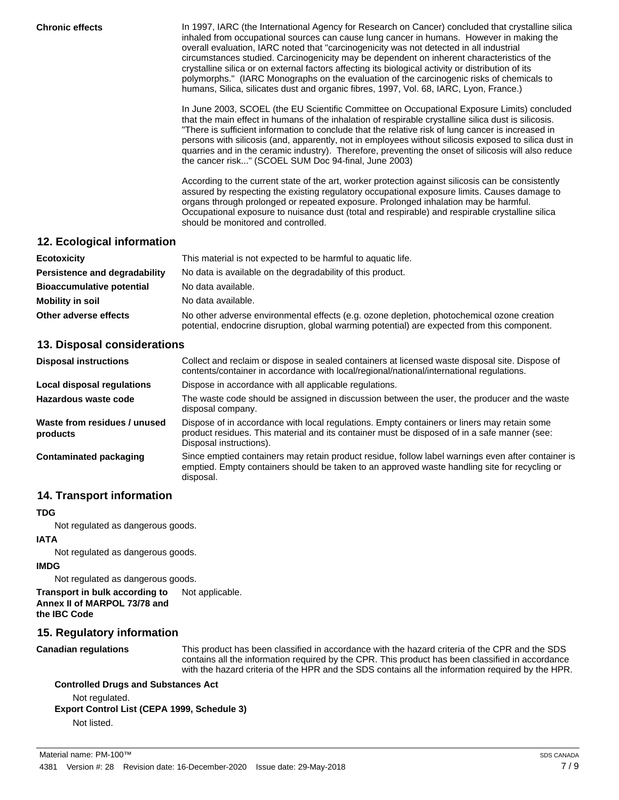**Chronic effects** In 1997, IARC (the International Agency for Research on Cancer) concluded that crystalline silica inhaled from occupational sources can cause lung cancer in humans. However in making the overall evaluation, IARC noted that "carcinogenicity was not detected in all industrial circumstances studied. Carcinogenicity may be dependent on inherent characteristics of the crystalline silica or on external factors affecting its biological activity or distribution of its polymorphs." (IARC Monographs on the evaluation of the carcinogenic risks of chemicals to humans, Silica, silicates dust and organic fibres, 1997, Vol. 68, IARC, Lyon, France.)

> In June 2003, SCOEL (the EU Scientific Committee on Occupational Exposure Limits) concluded that the main effect in humans of the inhalation of respirable crystalline silica dust is silicosis. "There is sufficient information to conclude that the relative risk of lung cancer is increased in persons with silicosis (and, apparently, not in employees without silicosis exposed to silica dust in quarries and in the ceramic industry). Therefore, preventing the onset of silicosis will also reduce the cancer risk..." (SCOEL SUM Doc 94-final, June 2003)

According to the current state of the art, worker protection against silicosis can be consistently assured by respecting the existing regulatory occupational exposure limits. Causes damage to organs through prolonged or repeated exposure. Prolonged inhalation may be harmful. Occupational exposure to nuisance dust (total and respirable) and respirable crystalline silica should be monitored and controlled.

# **12. Ecological information**

| <b>Ecotoxicity</b>               | This material is not expected to be harmful to aquatic life.                                                                                                                               |  |
|----------------------------------|--------------------------------------------------------------------------------------------------------------------------------------------------------------------------------------------|--|
| Persistence and degradability    | No data is available on the degradability of this product.                                                                                                                                 |  |
| <b>Bioaccumulative potential</b> | No data available.                                                                                                                                                                         |  |
| Mobility in soil                 | No data available.                                                                                                                                                                         |  |
| Other adverse effects            | No other adverse environmental effects (e.g. ozone depletion, photochemical ozone creation<br>potential, endocrine disruption, global warming potential) are expected from this component. |  |

# **13. Disposal considerations**

| <b>Disposal instructions</b>             | Collect and reclaim or dispose in sealed containers at licensed waste disposal site. Dispose of<br>contents/container in accordance with local/regional/national/international regulations.                            |
|------------------------------------------|------------------------------------------------------------------------------------------------------------------------------------------------------------------------------------------------------------------------|
| Local disposal regulations               | Dispose in accordance with all applicable regulations.                                                                                                                                                                 |
| Hazardous waste code                     | The waste code should be assigned in discussion between the user, the producer and the waste<br>disposal company.                                                                                                      |
| Waste from residues / unused<br>products | Dispose of in accordance with local regulations. Empty containers or liners may retain some<br>product residues. This material and its container must be disposed of in a safe manner (see:<br>Disposal instructions). |
| Contaminated packaging                   | Since emptied containers may retain product residue, follow label warnings even after container is<br>emptied. Empty containers should be taken to an approved waste handling site for recycling or<br>disposal.       |

# **14. Transport information**

#### **TDG**

Not regulated as dangerous goods.

#### **IATA**

Not regulated as dangerous goods.

#### **IMDG**

Not regulated as dangerous goods.

**Transport in bulk according to** Not applicable. **Annex II of MARPOL 73/78 and the IBC Code**

# **15. Regulatory information**

**Canadian regulations**

This product has been classified in accordance with the hazard criteria of the CPR and the SDS contains all the information required by the CPR. This product has been classified in accordance with the hazard criteria of the HPR and the SDS contains all the information required by the HPR.

# **Controlled Drugs and Substances Act**

Not regulated. **Export Control List (CEPA 1999, Schedule 3)**

Not listed.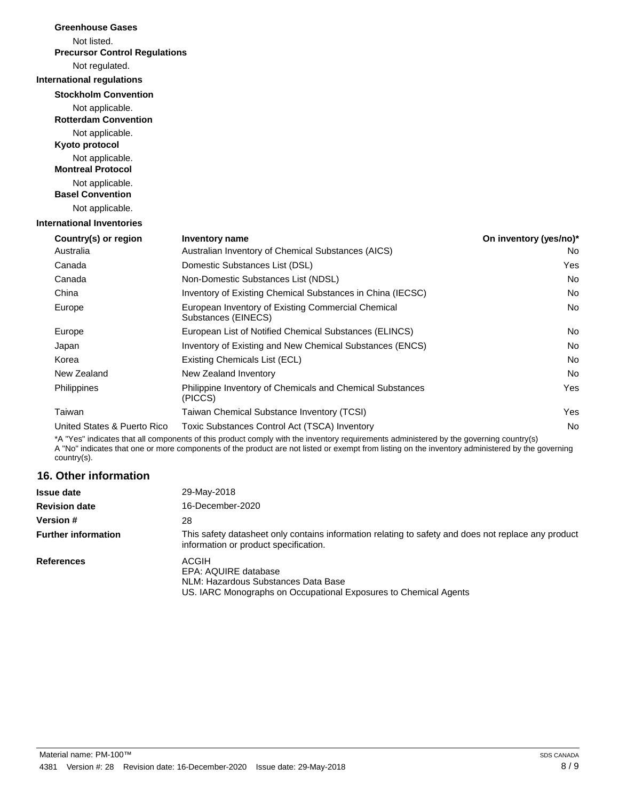| <b>Greenhouse Gases</b>                        |                                                                           |                        |
|------------------------------------------------|---------------------------------------------------------------------------|------------------------|
| Not listed.                                    |                                                                           |                        |
| <b>Precursor Control Regulations</b>           |                                                                           |                        |
| Not regulated.                                 |                                                                           |                        |
| <b>International regulations</b>               |                                                                           |                        |
| <b>Stockholm Convention</b>                    |                                                                           |                        |
| Not applicable.<br><b>Rotterdam Convention</b> |                                                                           |                        |
| Not applicable.<br>Kyoto protocol              |                                                                           |                        |
| Not applicable.<br><b>Montreal Protocol</b>    |                                                                           |                        |
| Not applicable.<br><b>Basel Convention</b>     |                                                                           |                        |
| Not applicable.                                |                                                                           |                        |
| <b>International Inventories</b>               |                                                                           |                        |
| Country(s) or region                           | Inventory name                                                            | On inventory (yes/no)* |
| Australia                                      | Australian Inventory of Chemical Substances (AICS)                        | No                     |
| Canada                                         | Domestic Substances List (DSL)                                            | Yes                    |
| Canada                                         | Non-Domestic Substances List (NDSL)                                       | No                     |
| China                                          | Inventory of Existing Chemical Substances in China (IECSC)                | No                     |
| Europe                                         | European Inventory of Existing Commercial Chemical<br>Substances (EINECS) | No                     |
| Europe                                         | European List of Notified Chemical Substances (ELINCS)                    | No                     |
| Japan                                          | Inventory of Existing and New Chemical Substances (ENCS)                  | <b>No</b>              |
| Korea                                          | Existing Chemicals List (ECL)                                             | <b>No</b>              |
| New Zealand                                    | New Zealand Inventory                                                     | <b>No</b>              |
| Philippines                                    | Philippine Inventory of Chemicals and Chemical Substances<br>(PICCS)      | Yes                    |
| Taiwan                                         | Taiwan Chemical Substance Inventory (TCSI)                                | Yes                    |
| United States & Puerto Rico                    | Toxic Substances Control Act (TSCA) Inventory                             | No                     |
|                                                |                                                                           |                        |

\*A "Yes" indicates that all components of this product comply with the inventory requirements administered by the governing country(s) A "No" indicates that one or more components of the product are not listed or exempt from listing on the inventory administered by the governing country(s).

# **16. Other information**

| <b>Issue date</b>          | 29-May-2018                                                                                                                                  |
|----------------------------|----------------------------------------------------------------------------------------------------------------------------------------------|
| <b>Revision date</b>       | 16-December-2020                                                                                                                             |
| <b>Version #</b>           | 28                                                                                                                                           |
| <b>Further information</b> | This safety datasheet only contains information relating to safety and does not replace any product<br>information or product specification. |
| <b>References</b>          | ACGIH<br>EPA: AQUIRE database<br>NLM: Hazardous Substances Data Base<br>US. IARC Monographs on Occupational Exposures to Chemical Agents     |